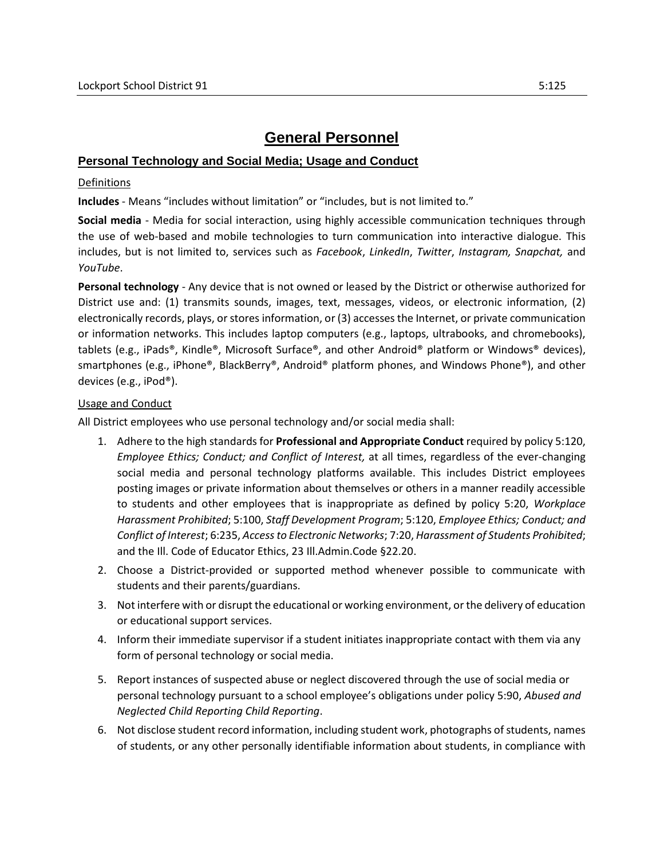## **General Personnel**

## **Personal Technology and Social Media; Usage and Conduct**

## Definitions

**Includes** - Means "includes without limitation" or "includes, but is not limited to."

**Social media** - Media for social interaction, using highly accessible communication techniques through the use of web-based and mobile technologies to turn communication into interactive dialogue. This includes, but is not limited to, services such as *Facebook*, *LinkedIn*, *Twitter*, *Instagram, Snapchat,* and *YouTube*.

**Personal technology** - Any device that is not owned or leased by the District or otherwise authorized for District use and: (1) transmits sounds, images, text, messages, videos, or electronic information, (2) electronically records, plays, or stores information, or (3) accesses the Internet, or private communication or information networks. This includes laptop computers (e.g., laptops, ultrabooks, and chromebooks), tablets (e.g., iPads®, Kindle®, Microsoft Surface®, and other Android® platform or Windows® devices), smartphones (e.g., iPhone®, BlackBerry®, Android® platform phones, and Windows Phone®), and other devices (e.g., iPod®).

## Usage and Conduct

All District employees who use personal technology and/or social media shall:

- 1. Adhere to the high standards for **Professional and Appropriate Conduct** required by policy 5:120, *Employee Ethics; Conduct; and Conflict of Interest,* at all times, regardless of the ever-changing social media and personal technology platforms available. This includes District employees posting images or private information about themselves or others in a manner readily accessible to students and other employees that is inappropriate as defined by policy 5:20, *Workplace Harassment Prohibited*; 5:100, *Staff Development Program*; 5:120, *Employee Ethics; Conduct; and Conflict of Interest*; 6:235, *Access to Electronic Networks*; 7:20, *Harassment of Students Prohibited*; and the Ill. Code of Educator Ethics, 23 Ill.Admin.Code §22.20.
- 2. Choose a District-provided or supported method whenever possible to communicate with students and their parents/guardians.
- 3. Not interfere with or disrupt the educational or working environment, or the delivery of education or educational support services.
- 4. Inform their immediate supervisor if a student initiates inappropriate contact with them via any form of personal technology or social media.
- 5. Report instances of suspected abuse or neglect discovered through the use of social media or personal technology pursuant to a school employee's obligations under policy 5:90, *Abused and Neglected Child Reporting Child Reporting*.
- 6. Not disclose student record information, including student work, photographs of students, names of students, or any other personally identifiable information about students, in compliance with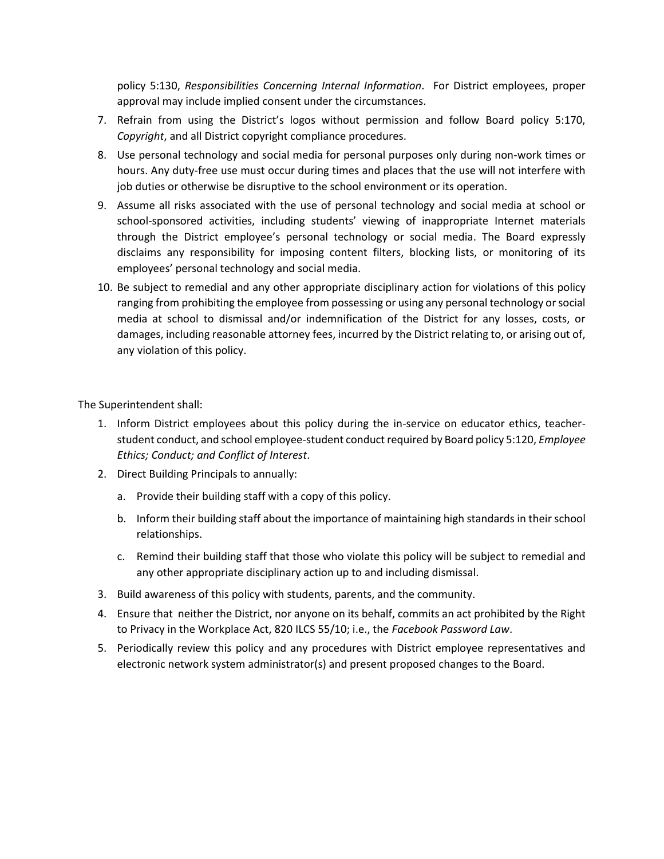policy 5:130, *Responsibilities Concerning Internal Information*. For District employees, proper approval may include implied consent under the circumstances.

- 7. Refrain from using the District's logos without permission and follow Board policy 5:170, *Copyright*, and all District copyright compliance procedures.
- 8. Use personal technology and social media for personal purposes only during non-work times or hours. Any duty-free use must occur during times and places that the use will not interfere with job duties or otherwise be disruptive to the school environment or its operation.
- 9. Assume all risks associated with the use of personal technology and social media at school or school-sponsored activities, including students' viewing of inappropriate Internet materials through the District employee's personal technology or social media. The Board expressly disclaims any responsibility for imposing content filters, blocking lists, or monitoring of its employees' personal technology and social media.
- 10. Be subject to remedial and any other appropriate disciplinary action for violations of this policy ranging from prohibiting the employee from possessing or using any personal technology or social media at school to dismissal and/or indemnification of the District for any losses, costs, or damages, including reasonable attorney fees, incurred by the District relating to, or arising out of, any violation of this policy.

The Superintendent shall:

- 1. Inform District employees about this policy during the in-service on educator ethics, teacherstudent conduct, and school employee-student conduct required by Board policy 5:120, *Employee Ethics; Conduct; and Conflict of Interest*.
- 2. Direct Building Principals to annually:
	- a. Provide their building staff with a copy of this policy.
	- b. Inform their building staff about the importance of maintaining high standards in their school relationships.
	- c. Remind their building staff that those who violate this policy will be subject to remedial and any other appropriate disciplinary action up to and including dismissal.
- 3. Build awareness of this policy with students, parents, and the community.
- 4. Ensure that neither the District, nor anyone on its behalf, commits an act prohibited by the Right to Privacy in the Workplace Act, 820 ILCS 55/10; i.e., the *Facebook Password Law*.
- 5. Periodically review this policy and any procedures with District employee representatives and electronic network system administrator(s) and present proposed changes to the Board.